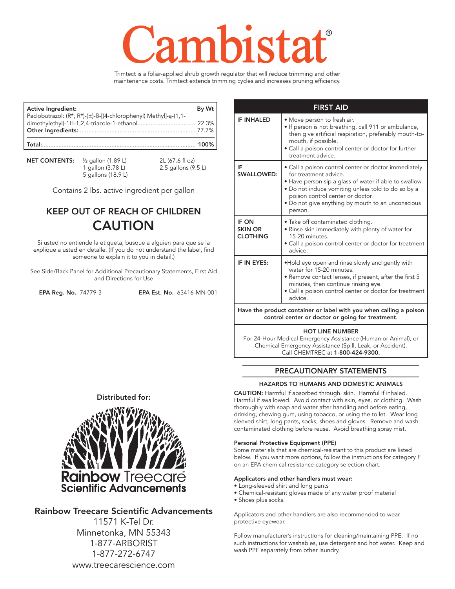# **MST2**

Trimtect is a foliar-applied shrub growth regulator that will reduce trimming and other maintenance costs. Trimtect extends trimming cycles and increases pruning efficiency.

| Active Ingredient:                                              | By Wt    |
|-----------------------------------------------------------------|----------|
| Paclobutrazol: (R*, R*)-(±)-ß-[(4-chlorophenyl) Methyl]-ą-(1,1- |          |
|                                                                 |          |
|                                                                 |          |
|                                                                 | $-100\%$ |

**NET CONTENTS:**  $\frac{1}{2}$  gallon (1.89 L) 2L (67.6 fl oz)<br>1 gallon (3.78 L) 2.5 gallons (9. 5 gallons (18.9 L)

2.5 gallons (9.5 L)

Contains 2 lbs. active ingredient per gallon

# KEEP OUT OF REACH OF CHILDREN CAUTION

Si usted no entiende la etiqueta, busque a alguien para que se la explique a usted en detalle. (If you do not understand the label, find someone to explain it to you in detail.)

See Side/Back Panel for Additional Precautionary Statements, First Aid and Directions for Use

EPA Reg. No. 74779-3 EPA Est. No. 63416-MN-001

| <b>IF INHALED</b>                                                                                                      | • Move person to fresh air.<br>• If person is not breathing, call 911 or ambulance,                                                                                                                                                                                                               |  |  |  |  |  |
|------------------------------------------------------------------------------------------------------------------------|---------------------------------------------------------------------------------------------------------------------------------------------------------------------------------------------------------------------------------------------------------------------------------------------------|--|--|--|--|--|
|                                                                                                                        | then give artificial respiration, preferably mouth-to-<br>mouth, if possible.<br>• Call a poison control center or doctor for further<br>treatment advice.                                                                                                                                        |  |  |  |  |  |
| IF<br><b>SWALLOWED:</b>                                                                                                | · Call a poison control center or doctor immediately<br>for treatment advice.<br>• Have person sip a glass of water if able to swallow.<br>. Do not induce vomiting unless told to do so by a<br>poison control center or doctor.<br>• Do not give anything by mouth to an unconscious<br>person. |  |  |  |  |  |
| <b>IF ON</b><br><b>SKIN OR</b><br><b>CLOTHING</b>                                                                      | • Take off contaminated clothing.<br>• Rinse skin immediately with plenty of water for<br>15-20 minutes.<br>• Call a poison control center or doctor for treatment<br>advice.                                                                                                                     |  |  |  |  |  |
| IF IN EYES:                                                                                                            | •Hold eye open and rinse slowly and gently with<br>water for 15-20 minutes.<br>• Remove contact lenses, if present, after the first 5<br>minutes, then continue rinsing eye.<br>· Call a poison control center or doctor for treatment<br>advice.                                                 |  |  |  |  |  |
| Have the product container or label with you when calling a poison<br>control center or doctor or going for treatment. |                                                                                                                                                                                                                                                                                                   |  |  |  |  |  |

HOT LINE NUMBER For 24-Hour Medical Emergency Assistance (Human or Animal), or Chemical Emergency Assistance (Spill, Leak, or Accident).

Call CHEMTREC at 1-800-424-9300.

## PRECAUTIONARY STATEMENTS

#### HAZARDS TO HUMANS AND DOMESTIC ANIMALS

CAUTION: Harmful if absorbed through skin. Harmful if inhaled. Harmful if swallowed. Avoid contact with skin, eyes, or clothing. Wash thoroughly with soap and water after handling and before eating, drinking, chewing gum, using tobacco, or using the toilet. Wear long sleeved shirt, long pants, socks, shoes and gloves. Remove and wash contaminated clothing before reuse. Avoid breathing spray mist.

#### Personal Protective Equipment (PPE)

Some materials that are chemical-resistant to this product are listed below. If you want more options, follow the instructions for category F on an EPA chemical resistance category selection chart.

#### Applicators and other handlers must wear:

- Long-sleeved shirt and long pants
- Chemical-resistant gloves made of any water proof material
- Shoes plus socks.

Applicators and other handlers are also recommended to wear protective eyewear.

Follow manufacturer's instructions for cleaning/maintaining PPE. If no such instructions for washables, use detergent and hot water. Keep and wash PPE separately from other laundry.





# Rainbow Treecare Scientific Advancements

11571 K-Tel Dr. Minnetonka, MN 55343 1-877-ARBORIST 1-877-272-6747 www.treecarescience.com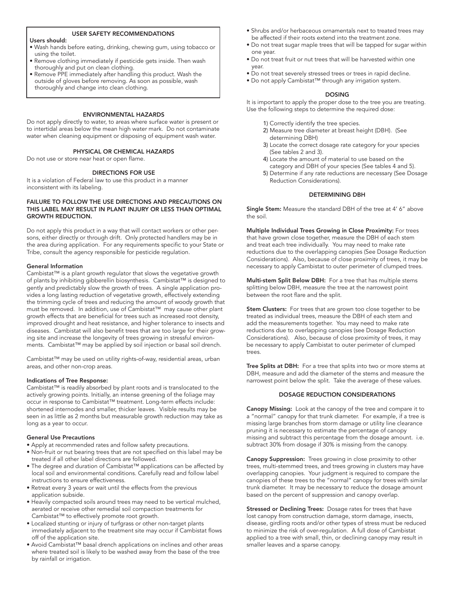#### USER SAFETY RECOMMENDATIONS

#### Users should:

- Wash hands before eating, drinking, chewing gum, using tobacco or using the toilet.
- Remove clothing immediately if pesticide gets inside. Then wash thoroughly and put on clean clothing.
- Remove PPE immediately after handling this product. Wash the outside of gloves before removing. As soon as possible, wash thoroughly and change into clean clothing.

#### ENVIRONMENTAL HAZARDS

Do not apply directly to water, to areas where surface water is present or to intertidal areas below the mean high water mark. Do not contaminate water when cleaning equipment or disposing of equipment wash water.

#### PHYSICAL OR CHEMICAL HAZARDS

Do not use or store near heat or open flame.

#### DIRECTIONS FOR USE

It is a violation of Federal law to use this product in a manner inconsistent with its labeling.

#### FAILURE TO FOLLOW THE USE DIRECTIONS AND PRECAUTIONS ON THIS LABEL MAY RESULT IN PLANT INJURY OR LESS THAN OPTIMAL GROWTH REDUCTION.

Do not apply this product in a way that will contact workers or other persons, either directly or through drift. Only protected handlers may be in the area during application. For any requirements specific to your State or Tribe, consult the agency responsible for pesticide regulation.

#### General Information

Cambistat™ is a plant growth regulator that slows the vegetative growth of plants by inhibiting gibberellin biosynthesis. Cambistat™ is designed to gently and predictably slow the growth of trees. A single application provides a long lasting reduction of vegetative growth, effectively extending the trimming cycle of trees and reducing the amount of woody growth that must be removed. In addition, use of Cambistat™ may cause other plant growth effects that are beneficial for trees such as increased root density, improved drought and heat resistance, and higher tolerance to insects and diseases. Cambistat will also benefit trees that are too large for their growing site and increase the longevity of trees growing in stressful environments. Cambistat™ may be applied by soil injection or basal soil drench.

Cambistat™ may be used on utility rights-of-way, residential areas, urban areas, and other non-crop areas.

#### Indications of Tree Response:

Cambistat™ is readily absorbed by plant roots and is translocated to the actively growing points. Initially, an intense greening of the foliage may occur in response to Cambistat™ treatment. Long-term effects include: shortened internodes and smaller, thicker leaves. Visible results may be seen in as little as 2 months but measurable growth reduction may take as long as a year to occur.

#### General Use Precautions

- Apply at recommended rates and follow safety precautions.
- Non-fruit or nut bearing trees that are not specified on this label may be treated if all other label directions are followed.
- The degree and duration of Cambistat™ applications can be affected by local soil and environmental conditions. Carefully read and follow label instructions to ensure effectiveness.
- Retreat every 3 years or wait until the effects from the previous application subside.
- Heavily compacted soils around trees may need to be vertical mulched, aerated or receive other remedial soil compaction treatments for Cambistat™ to effectively promote root growth.
- Localized stunting or injury of turfgrass or other non-target plants immediately adjacent to the treatment site may occur if Cambistat flows off of the application site.
- Avoid Cambistat™ basal drench applications on inclines and other areas where treated soil is likely to be washed away from the base of the tree by rainfall or irrigation.
- Shrubs and/or herbaceous ornamentals next to treated trees may be affected if their roots extend into the treatment zone.
- Do not treat sugar maple trees that will be tapped for sugar within one year.
- Do not treat fruit or nut trees that will be harvested within one year.
- Do not treat severely stressed trees or trees in rapid decline.
- Do not apply Cambistat™ through any irrigation system.

#### DOSING

It is important to apply the proper dose to the tree you are treating. Use the following steps to determine the required dose:

- 1) Correctly identify the tree species.
- 2) Measure tree diameter at breast height (DBH). (See determining DBH)
- 3) Locate the correct dosage rate category for your species (See tables 2 and 3).
- 4) Locate the amount of material to use based on the category and DBH of your species (See tables 4 and 5).
- 5) Determine if any rate reductions are necessary (See Dosage Reduction Considerations).

#### DETERMINING DBH

Single Stem: Measure the standard DBH of the tree at 4' 6" above the soil.

Multiple Individual Trees Growing in Close Proximity: For trees that have grown close together, measure the DBH of each stem and treat each tree individually. You may need to make rate reductions due to the overlapping canopies (See Dosage Reduction Considerations). Also, because of close proximity of trees, it may be necessary to apply Cambistat to outer perimeter of clumped trees.

Multi-stem Split Below DBH: For a tree that has multiple stems splitting below DBH, measure the tree at the narrowest point between the root flare and the split.

Stem Clusters: For trees that are grown too close together to be treated as individual trees, measure the DBH of each stem and add the measurements together. You may need to make rate reductions due to overlapping canopies (see Dosage Reduction Considerations). Also, because of close proximity of trees, it may be necessary to apply Cambistat to outer perimeter of clumped trees.

Tree Splits at DBH: For a tree that splits into two or more stems at DBH, measure and add the diameter of the stems and measure the narrowest point below the split. Take the average of these values.

#### DOSAGE REDUCTION CONSIDERATIONS

Canopy Missing: Look at the canopy of the tree and compare it to a "normal" canopy for that trunk diameter. For example, if a tree is missing large branches from storm damage or utility line clearance pruning it is necessary to estimate the percentage of canopy missing and subtract this percentage from the dosage amount. i.e. subtract 30% from dosage if 30% is missing from the canopy.

Canopy Suppression: Trees growing in close proximity to other trees, multi-stemmed trees, and trees growing in clusters may have overlapping canopies. Your judgment is required to compare the canopies of these trees to the "normal" canopy for trees with similar trunk diameter. It may be necessary to reduce the dosage amount based on the percent of suppression and canopy overlap.

Stressed or Declining Trees: Dosage rates for trees that have lost canopy from construction damage, storm damage, insects, disease, girdling roots and/or other types of stress must be reduced to minimize the risk of over-regulation. A full dose of Cambistat applied to a tree with small, thin, or declining canopy may result in smaller leaves and a sparse canopy.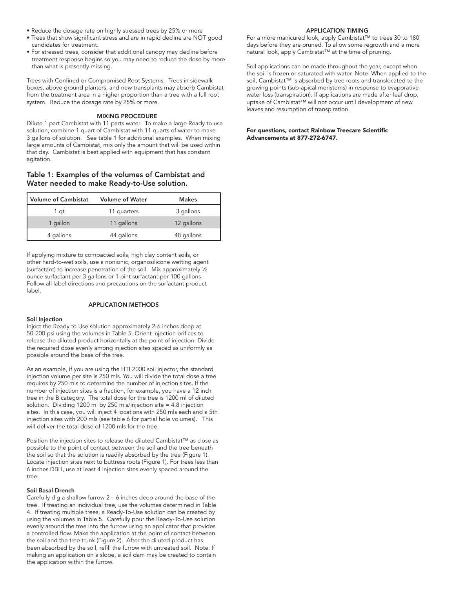- Reduce the dosage rate on highly stressed trees by 25% or more
- Trees that show significant stress and are in rapid decline are NOT good candidates for treatment.
- For stressed trees, consider that additional canopy may decline before treatment response begins so you may need to reduce the dose by more than what is presently missing.

Trees with Confined or Compromised Root Systems: Trees in sidewalk boxes, above ground planters, and new transplants may absorb Cambistat from the treatment area in a higher proportion than a tree with a full root system. Reduce the dosage rate by 25% or more.

#### MIXING PROCEDURE

Dilute 1 part Cambistat with 11 parts water. To make a large Ready to use solution, combine 1 quart of Cambistat with 11 quarts of water to make 3 gallons of solution. See table 1 for additional examples. When mixing large amounts of Cambistat, mix only the amount that will be used within that day. Cambistat is best applied with equipment that has constant agitation.

### Table 1: Examples of the volumes of Cambistat and Water needed to make Ready-to-Use solution.

| Volume of Cambistat | <b>Volume of Water</b> | Makes      |
|---------------------|------------------------|------------|
| 1 at                | 11 quarters            | 3 gallons  |
| 1 gallon            | 11 gallons             | 12 gallons |
| 4 gallons           | 44 gallons             | 48 gallons |

If applying mixture to compacted soils, high clay content soils, or other hard-to-wet soils, use a nonionic, organosilicone wetting agent (surfactant) to increase penetration of the soil. Mix approximately ½ ounce surfactant per 3 gallons or 1 pint surfactant per 100 gallons. Follow all label directions and precautions on the surfactant product label.

#### APPLICATION METHODS

#### Soil Injection

Inject the Ready to Use solution approximately 2-6 inches deep at 50-200 psi using the volumes in Table 5. Orient injection orifices to release the diluted product horizontally at the point of injection. Divide the required dose evenly among injection sites spaced as uniformly as possible around the base of the tree.

As an example, if you are using the HTI 2000 soil injector, the standard injection volume per site is 250 mls. You will divide the total dose a tree requires by 250 mls to determine the number of injection sites. If the number of injection sites is a fraction, for example, you have a 12 inch tree in the B category. The total dose for the tree is 1200 ml of diluted solution. Dividing 1200 ml by 250 mls/injection site = 4.8 injection sites. In this case, you will inject 4 locations with 250 mls each and a 5th injection sites with 200 mls (see table 6 for partial hole volumes). This will deliver the total dose of 1200 mls for the tree.

Position the injection sites to release the diluted Cambistat™ as close as possible to the point of contact between the soil and the tree beneath the soil so that the solution is readily absorbed by the tree (Figure 1). Locate injection sites next to buttress roots (Figure 1). For trees less than 6 inches DBH, use at least 4 injection sites evenly spaced around the tree.

#### Soil Basal Drench

Carefully dig a shallow furrow 2 – 6 inches deep around the base of the tree. If treating an individual tree, use the volumes determined in Table 4. If treating multiple trees, a Ready-To-Use solution can be created by using the volumes in Table 5. Carefully pour the Ready-To-Use solution evenly around the tree into the furrow using an applicator that provides a controlled flow. Make the application at the point of contact between the soil and the tree trunk (Figure 2). After the diluted product has been absorbed by the soil, refill the furrow with untreated soil. Note: If making an application on a slope, a soil dam may be created to contain the application within the furrow.

#### APPLICATION TIMING

For a more manicured look, apply Cambistat™ to trees 30 to 180 days before they are pruned. To allow some regrowth and a more natural look, apply Cambistat™ at the time of pruning.

Soil applications can be made throughout the year, except when the soil is frozen or saturated with water. Note: When applied to the soil, Cambistat™ is absorbed by tree roots and translocated to the growing points (sub-apical meristems) in response to evaporative water loss (transpiration). If applications are made after leaf drop, uptake of Cambistat™ will not occur until development of new leaves and resumption of transpiration.

#### For questions, contact Rainbow Treecare Scientific Advancements at 877-272-6747.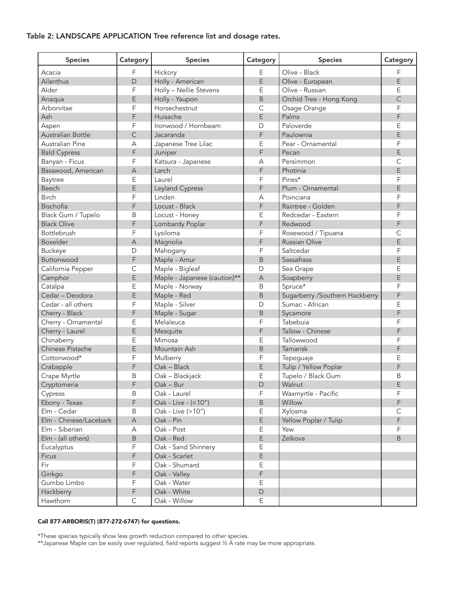# Table 2: LANDSCAPE APPLICATION Tree reference list and dosage rates.

| <b>Species</b>         | Category                  | <b>Species</b>                                 | Category       | <b>Species</b>                 | Category       |
|------------------------|---------------------------|------------------------------------------------|----------------|--------------------------------|----------------|
| Acacia                 | F                         | Hickory                                        | E              | Olive - Black                  | F              |
| Ailanthus              | D                         | Holly - American                               | E              | Olive - European               | E              |
| Alder                  | F                         | Holly - Nellie Stevens                         | Е              | Olive - Russian                | Ε              |
| Anaqua                 | E                         | Holly - Yaupon                                 | B              | Orchid Tree - Hong Kong        | $\overline{C}$ |
| Arborvitae             | F                         | Horsechestnut                                  | С              | Osage Orange                   | F              |
| Ash                    | F                         | Huisache                                       | E              | Palms                          | F              |
| Aspen                  | F                         | Ironwood / Hornbeam                            | D              | Paloverde                      | E              |
| Australian Bottle      | $\mathsf{C}$              | Jacaranda                                      | F              | Paulownia                      | E              |
| <b>Australian Pine</b> | $\overline{A}$            | Japanese Tree Lilac                            | Ε              | Pear - Ornamental              | F              |
| <b>Bald Cypress</b>    | F                         | Juniper                                        | F              | Pecan                          | E              |
| Banyan - Ficus         | F                         | Katsura - Japanese                             | А              | Persimmon                      | C              |
| Basswood, American     | $\forall$                 | Larch                                          | F              | Photinia                       | E              |
| Baytree                | Ε                         | Laurel                                         | F              | Pines*                         | F              |
| Beech                  | E                         | Leyland Cypress                                | F              | Plum - Ornamental              | E              |
| <b>Birch</b>           | F                         | Linden                                         | A              | Poinciana                      | F              |
| Bischofia              | F                         | Locust - Black                                 | F              | Raintree - Golden              | F              |
| Black Gum / Tupelo     | B                         | Locust - Honey                                 | Ε              | Redcedar - Eastern             | F              |
| <b>Black Olive</b>     | F                         | Lombardy Poplar                                | F              | Redwood                        | F              |
| Bottlebrush            | F                         | Lysiloma                                       | F              | Rosewood / Tipuana             | C              |
| Boxelder               | $\forall$                 | Magnolia                                       | F              | <b>Russian Olive</b>           | E              |
| <b>Buckeye</b>         | D                         | Mahogany                                       | F              | Saltcedar                      | F              |
| Buttonwood             | F                         | Maple - Amur                                   | B              | Sassafrass                     | E              |
| California Pepper      | $\mathsf C$               | Maple - Bigleaf                                | D              | Sea Grape                      | Ε              |
| Camphor                | E                         | Maple - Japanese (caution)**                   | $\overline{A}$ | Soapberry                      | E              |
| Catalpa                | Ε                         | Maple - Norway                                 | B              | Spruce*                        | F              |
| Cedar - Deodora        | E                         | Maple - Red                                    | B              | Sugarberry /Southern Hackberry | F              |
| Cedar - all others     | F                         | Maple - Silver                                 | D              | Sumac - African                | E              |
| Cherry - Black         | F                         | Maple - Sugar                                  | B              | Sycamore                       | F              |
| Cherry - Ornamental    | E                         | Melaleuca                                      | F              | Tabebuia                       | F              |
| Cherry - Laurel        | E                         | Mesquite                                       | F              | Tallow - Chinese               | F              |
| Chinaberry             | Ε                         | Mimosa                                         | Ε              | Tallowwood                     | F              |
| Chinese Pistache       | E                         | Mountain Ash                                   | B              | Tamarisk                       | F              |
| Cottonwood*            | F                         | Mulberry                                       | F              | Tepeguaje                      | Ε              |
| Crabapple              | F                         | Oak - Black                                    | E              | Tulip / Yellow Poplar          | F              |
| Crape Myrtle           | B                         | Oak - Blackjack                                | Ε              | Tupelo / Black Gum             | B              |
| Cryptomeria            | F                         | Oak - Bur                                      | D              | Walnut                         | E              |
| Cypress                | B                         | Oak - Laurel                                   | F              | Waxmyrtle - Pacific            | F              |
| Ebony - Texas          | F                         | Oak - Live - (<10")                            | B              | Willow                         | F              |
| Elm - Cedar            | Β                         | Oak - Live (>10")                              | Ε              | Xylosma                        | C              |
| Elm - Chinese/Lacebark | $\boldsymbol{\mathsf{A}}$ | Oak - Pin                                      | E              | Yellow Poplar / Tulip          | F              |
| Elm - Siberian         | А                         | Oak - Post                                     | Е              | Yew                            | F              |
| Elm - (all others)     | B                         | Oak - Red                                      | E              | Zelkova                        | $\sf B$        |
| Eucalyptus             | F                         |                                                |                |                                |                |
| Ficus                  | F                         | Oak - Sand Shinnery<br>Е<br>E<br>Oak - Scarlet |                |                                |                |
| Fir                    | F                         | Oak - Shumard                                  | Ε              |                                |                |
| Ginkgo                 | F                         | Oak - Valley                                   | F              |                                |                |
| Gumbo Limbo            | F                         | Oak - Water                                    | E              |                                |                |
| Hackberry              | F                         | Oak - White                                    | D              |                                |                |
| Hawthorn               | $\mathsf C$               | Oak - Willow                                   | Ε              |                                |                |
|                        |                           |                                                |                |                                |                |

#### Call 877-ARBORIS(T) (877-272-6747) for questions.

\*These species typically show less growth reduction compared to other species.

\*\*Japanese Maple can be easily over regulated, field reports suggest ½ A rate may be more appropriate.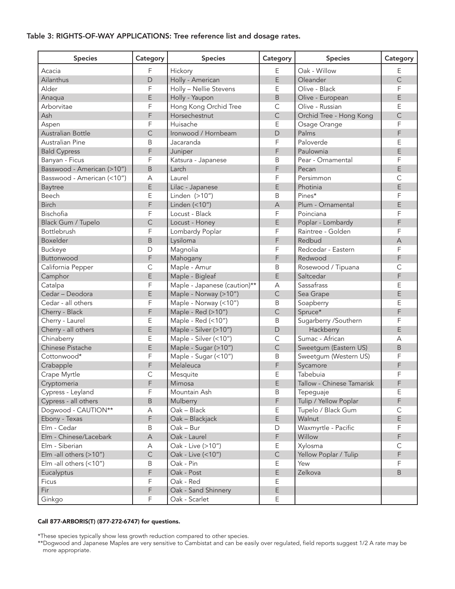# Table 3: RIGHTS-OF-WAY APPLICATIONS: Tree reference list and dosage rates.

| <b>Species</b>             | Category    | <b>Species</b>               | Category       | <b>Species</b>            | Category       |
|----------------------------|-------------|------------------------------|----------------|---------------------------|----------------|
| Acacia                     | F           | Hickory                      | E              | Oak - Willow              | Ε              |
| Ailanthus                  | D           | Holly - American             | E              | Oleander                  | $\overline{C}$ |
| Alder                      | F           | Holly - Nellie Stevens       | Ε              | Olive - Black             | F              |
| Anaqua                     | E           | Holly - Yaupon               | B              | Olive - European          | E              |
| Arborvitae                 | F           | Hong Kong Orchid Tree        | $\mathsf{C}$   | Olive - Russian           | E              |
| Ash                        | F           | Horsechestnut                | $\mathsf{C}$   | Orchid Tree - Hong Kong   | $\overline{C}$ |
| Aspen                      | F           | Huisache                     | Ε              | Osage Orange              | F              |
| Australian Bottle          | C           | Ironwood / Hornbeam          | $\mathsf{D}$   | Palms                     | F              |
| Australian Pine            | Β           | Jacaranda                    | F              | Paloverde                 | Ε              |
| <b>Bald Cypress</b>        | F           | Juniper                      | F              | Paulownia                 | E              |
| Banyan - Ficus             | F           | Katsura - Japanese           | B              | Pear - Ornamental         | F              |
| Basswood - American (>10") | B           | Larch                        | F              | Pecan                     | E              |
| Basswood - American (<10") | А           | Laurel                       | F              | Persimmon                 | C              |
|                            | E           |                              | E              |                           | E              |
| <b>Baytree</b><br>Beech    | E           | Lilac - Japanese             |                | Photinia<br>Pines*        | F              |
| <b>Birch</b>               |             | Linden (>10")                | B              |                           |                |
|                            | F           | Linden (<10")                | $\overline{A}$ | Plum - Ornamental         | E              |
| Bischofia                  | F           | Locust - Black               | F              | Poinciana                 | F              |
| Black Gum / Tupelo         | C           | Locust - Honey               | E              | Poplar - Lombardy         | F              |
| Bottlebrush                | F           | Lombardy Poplar              | F              | Raintree - Golden         | F              |
| Boxelder                   | B           | Lysiloma                     | F              | Redbud                    | $\overline{A}$ |
| <b>Buckeye</b>             | D           | Magnolia                     | F              | Redcedar - Eastern        | F              |
| Buttonwood                 | F           | Mahogany                     | F              | Redwood                   | F              |
| California Pepper          | С           | Maple - Amur                 | B              | Rosewood / Tipuana        | C              |
| Camphor                    | E           | Maple - Bigleaf              | E              | Saltcedar                 | F              |
| Catalpa                    | F           | Maple - Japanese (caution)** | A              | Sassafrass                | E              |
| Cedar - Deodora            | E           | Maple - Norway (>10")        | $\mathsf{C}$   | Sea Grape                 | E              |
| Cedar - all others         | F           | Maple - Norway (<10")        | B              | Soapberry                 | E              |
| Cherry - Black             | F           | Maple - Red (>10")           | $\mathsf{C}$   | Spruce*                   | F              |
| Cherry - Laurel            | Ε           | Maple - Red (<10")           | B              | Sugarberry /Southern      | F              |
| Cherry - all others        | E           | Maple - Silver (>10")        | D              | Hackberry                 | E              |
| Chinaberry                 | Ε           | Maple - Silver (<10")        | $\mathsf{C}$   | Sumac - African           | А              |
| Chinese Pistache           | E           | Maple - Sugar (>10")         | $\mathsf{C}$   | Sweetgum (Eastern US)     | B              |
| Cottonwood*                | F           | Maple - Sugar (<10")         | B              | Sweetgum (Western US)     | F              |
| Crabapple                  | F           | Melaleuca                    | F              | Sycamore                  | F              |
| Crape Myrtle               | C           | Mesquite                     | E              | Tabebuia                  | F              |
| Cryptomeria                | F           | Mimosa                       | E              | Tallow - Chinese Tamarisk | F              |
| Cypress - Leyland          | F           | Mountain Ash                 | Β              | Tepeguaje                 | Ε              |
| Cypress - all others       | B           | Mulberry                     | F              | Tulip / Yellow Poplar     | F              |
| Dogwood - CAUTION**        | А           | Oak - Black                  | Е              | Tupelo / Black Gum        | $\mathsf C$    |
| Ebony - Texas              | F           | Oak - Blackjack              | E              | Walnut                    | E.             |
| Elm - Cedar                | Β           | Oak - Bur                    | D              | Waxmyrtle - Pacific       | F              |
| Elm - Chinese/Lacebark     | $\mathsf A$ | Oak - Laurel                 | F              | Willow                    | F              |
| Elm - Siberian             | А           | Oak - Live (>10")            | Е              | Xylosma                   | C              |
| Elm -all others (>10")     | $\mathsf C$ | Oak - Live (<10")            | $\mathsf C$    | Yellow Poplar / Tulip     | F              |
| Elm -all others (<10")     | Β           | Oak - Pin                    | Е              | Yew                       | F              |
| Eucalyptus                 | F           | Oak - Post                   | E              | Zelkova                   | B              |
| Ficus                      | F           | Oak - Red                    | Е              |                           |                |
| Fir                        | F           | Oak - Sand Shinnery          | Ε              |                           |                |
| Ginkgo                     | F           | Oak - Scarlet                | Е              |                           |                |
|                            |             |                              |                |                           |                |

# Call 877-ARBORIS(T) (877-272-6747) for questions.

\*These species typically show less growth reduction compared to other species.

\*\*Dogwood and Japanese Maples are very sensitive to Cambistat and can be easily over regulated, field reports suggest 1/2 A rate may be more appropriate.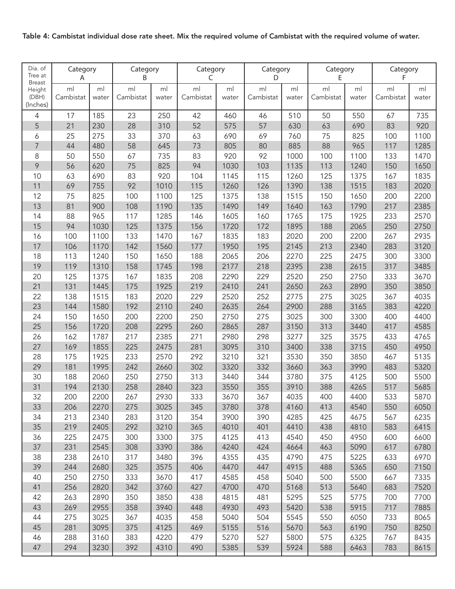| Table 4: Cambistat individual dose rate sheet. Mix the required volume of Cambistat with the required volume of water. |  |  |
|------------------------------------------------------------------------------------------------------------------------|--|--|
|------------------------------------------------------------------------------------------------------------------------|--|--|

| Dia. of<br>Tree at<br><b>Breast</b> | Category<br>A   |              | Category<br>B   |              | Category<br>C   |              | Category<br>D   |              | Category<br>E   |              | Category<br>F   |              |
|-------------------------------------|-----------------|--------------|-----------------|--------------|-----------------|--------------|-----------------|--------------|-----------------|--------------|-----------------|--------------|
| Height<br>(DBH)<br>(Inches)         | ml<br>Cambistat | ml<br>water  | ml<br>Cambistat | ml<br>water  | ml<br>Cambistat | ml<br>water  | ml<br>Cambistat | ml<br>water  | ml<br>Cambistat | ml<br>water  | ml<br>Cambistat | ml<br>water  |
| $\overline{4}$                      | 17              | 185          | 23              | 250          | 42              | 460          | 46              | 510          | 50              | 550          | 67              | 735          |
| 5                                   | 21              | 230          | 28              | 310          | 52              | 575          | 57              | 630          | 63              | 690          | 83              | 920          |
| 6                                   | 25              | 275          | 33              | 370          | 63              | 690          | 69              | 760          | 75              | 825          | 100             | 1100         |
| $\overline{7}$                      | 44              | 480          | 58              | 645          | 73              | 805          | 80              | 885          | 88              | 965          | 117             | 1285         |
| 8                                   | 50              | 550          | 67              | 735          | 83              | 920          | 92              | 1000         | 100             | 1100         | 133             | 1470         |
| 9                                   | 56              | 620          | 75              | 825          | 94              | 1030         | 103             | 1135         | 113             | 1240         | 150             | 1650         |
| 10                                  | 63              | 690          | 83              | 920          | 104             | 1145         | 115             | 1260         | 125             | 1375         | 167             | 1835         |
| 11                                  | 69              | 755          | 92              | 1010         | 115             | 1260         | 126             | 1390         | 138             | 1515         | 183             | 2020         |
| 12                                  | 75              | 825          | 100             | 1100         | 125             | 1375         | 138             | 1515         | 150             | 1650         | 200             | 2200         |
| 13                                  | 81              | 900          | 108             | 1190         | 135             | 1490         | 149             | 1640         | 163             | 1790         | 217             | 2385         |
| 14                                  | 88              | 965          | 117             | 1285         | 146             | 1605         | 160             | 1765         | 175             | 1925         | 233             | 2570         |
| 15                                  | 94              | 1030         | 125             | 1375         | 156             | 1720         | 172             | 1895         | 188             | 2065         | 250             | 2750         |
| 16                                  | 100             | 1100         | 133             | 1470         | 167             | 1835         | 183             | 2020         | 200             | 2200         | 267             | 2935         |
| 17                                  | 106             | 1170         | 142             | 1560         | 177             | 1950         | 195             | 2145         | 213             | 2340         | 283             | 3120         |
| 18                                  | 113             | 1240         | 150             | 1650         | 188             | 2065         | 206             | 2270         | 225             | 2475         | 300             | 3300         |
| 19                                  | 119             | 1310         | 158             | 1745         | 198             | 2177         | 218             | 2395         | 238             | 2615         | 317             | 3485         |
| 20                                  | 125             | 1375         | 167             | 1835         | 208             | 2290         | 229             | 2520         | 250             | 2750         | 333             | 3670         |
| 21                                  | 131             | 1445         | 175             | 1925         | 219             | 2410         | 241             | 2650         | 263             | 2890         | 350             | 3850         |
| 22                                  | 138             | 1515         | 183             | 2020         | 229             | 2520         | 252             | 2775         | 275             | 3025         | 367             | 4035         |
| 23                                  | 144             | 1580         | 192             | 2110         | 240             | 2635         | 264             | 2900         | 288             | 3165         | 383             | 4220         |
| 24                                  | 150             | 1650         | 200             | 2200         | 250             | 2750         | 275             | 3025         | 300             | 3300         | 400             | 4400         |
| 25                                  | 156             | 1720         | 208             | 2295         | 260             | 2865         | 287             | 3150         | 313             | 3440         | 417             | 4585         |
| 26                                  | 162             | 1787         | 217             | 2385         | 271             | 2980         | 298             | 3277         | 325             | 3575         | 433             | 4765         |
| 27                                  | 169             | 1855         | 225             | 2475         | 281             | 3095         | 310             | 3400         | 338             | 3715         | 450             | 4950         |
| 28                                  | 175             | 1925         | 233             | 2570         | 292             | 3210         | 321             | 3530         | 350             | 3850         | 467             | 5135         |
| 29                                  | 181             | 1995         | 242             | 2660         | 302             | 3320         | 332             | 3660         | 363             | 3990         | 483             | 5320         |
| 30                                  | 188             | 2060         | 250             | 2750         | 313             | 3440         | 344             | 3780         | 375             | 4125         | 500             | 5500         |
| 31                                  | 194             | 2130         | 258             | 2840         | 323             | 3550         | 355             | 3910         | 388             | 4265         | 517             | 5685         |
| 32                                  | 200             | 2200         | 267             | 2930         | 333             | 3670         | 367             | 4035         | 400             | 4400         | 533             | 5870         |
| 33                                  | 206             | 2270         | 275             | 3025         | 345             | 3780         | 378             | 4160         | 413             | 4540         | 550             | 6050         |
| 34                                  | 213             | 2340         | 283             | 3120         | 354             | 3900         | 390             | 4285         | 425             | 4675         | 567             | 6235         |
| 35                                  | 219             | 2405         | 292             | 3210         | 365             | 4010         | 401             | 4410         | 438             | 4810         | 583             | 6415         |
| 36                                  | 225             | 2475         | 300             | 3300         | 375             | 4125         | 413             | 4540         | 450             | 4950         | 600             | 6600         |
| 37<br>38                            | 231             | 2545<br>2610 | 308             | 3390<br>3480 | 386<br>396      | 4240         | 424             | 4664         | 463             | 5090         | 617             | 6780         |
| 39                                  | 238<br>244      | 2680         | 317<br>325      | 3575         | 406             | 4355<br>4470 | 435<br>447      | 4790<br>4915 | 475<br>488      | 5225<br>5365 | 633<br>650      | 6970<br>7150 |
| 40                                  | 250             | 2750         | 333             | 3670         | 417             | 4585         | 458             | 5040         | 500             | 5500         | 667             | 7335         |
| 41                                  | 256             | 2820         | 342             | 3760         | 427             | 4700         | 470             | 5168         | 513             | 5640         | 683             | 7520         |
| 42                                  | 263             | 2890         | 350             | 3850         | 438             | 4815         | 481             | 5295         | 525             | 5775         | 700             | 7700         |
| 43                                  | 269             | 2955         | 358             | 3940         | 448             | 4930         | 493             | 5420         | 538             | 5915         | 717             | 7885         |
| 44                                  | 275             | 3025         | 367             | 4035         | 458             | 5040         | 504             | 5545         | 550             | 6050         | 733             | 8065         |
| 45                                  | 281             | 3095         | 375             | 4125         | 469             | 5155         | 516             | 5670         | 563             | 6190         | 750             | 8250         |
| 46                                  | 288             | 3160         | 383             | 4220         | 479             | 5270         | 527             | 5800         | 575             | 6325         | 767             | 8435         |
| 47                                  | 294             | 3230         | 392             | 4310         | 490             | 5385         | 539             | 5924         | 588             | 6463         | 783             | 8615         |
|                                     |                 |              |                 |              |                 |              |                 |              |                 |              |                 |              |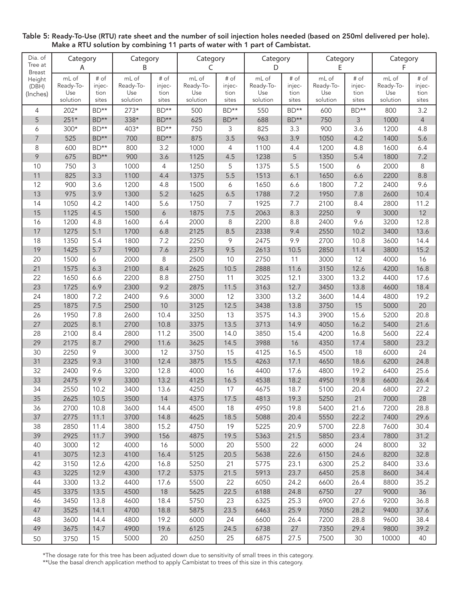| Dia. of<br>Tree at               | Category<br>Α      |                | Category<br>B      |                  | Category<br>C      |                | Category<br>D      |                | Category<br>E      |                | Category<br>F      |                  |
|----------------------------------|--------------------|----------------|--------------------|------------------|--------------------|----------------|--------------------|----------------|--------------------|----------------|--------------------|------------------|
| <b>Breast</b><br>Height<br>(DBH) | mL of<br>Ready-To- | # of<br>injec- | mL of<br>Ready-To- | # of<br>injec-   | mL of<br>Ready-To- | # of<br>injec- | mL of<br>Ready-To- | # of<br>injec- | mL of<br>Ready-To- | # of<br>injec- | mL of<br>Ready-To- | $#$ of<br>injec- |
| (Inches)                         | Use<br>solution    | tion<br>sites  | Use<br>solution    | tion<br>sites    | Use<br>solution    | tion<br>sites  | Use<br>solution    | tion<br>sites  | Use<br>solution    | tion<br>sites  | Use<br>solution    | tion<br>sites    |
| 4                                | 202*               | BD**           | $273*$             | $BD**$           | 500                | BD**           | 550                | BD**           | 600                | $BD**$         | 800                | 3.2              |
| 5                                | $251*$             | BD**           | 338*               | BD**             | 625                | $BD**$         | 688                | BD**           | 750                | 3              | 1000               | $\overline{4}$   |
| 6                                | $300*$             | $BD**$         | 403*               | BD**             | 750                | 3              | 825                | 3.3            | 900                | 3.6            | 1200               | 4.8              |
| $\overline{7}$                   | 525                | BD**           | 700                | BD**             | 875                | 3.5            | 963                | 3.9            | 1050               | 4.2            | 1400               | 5.6              |
| 8                                | 600                | BD**           | 800                | 3.2              | 1000               | 4              | 1100               | 4.4            | 1200               | 4.8            | 1600               | 6.4              |
| 9                                | 675                | BD**           | 900                | 3.6              | 1125               | 4.5            | 1238               | 5              | 1350               | 5.4            | 1800               | 7.2              |
| 10                               | 750                | 3              | 1000               | 4                | 1250               | 5              | 1375               | 5.5            | 1500               | 6              | 2000               | 8                |
| 11                               | 825                | 3.3            | 1100               | 4.4              | 1375               | 5.5            | 1513               | 6.1            | 1650               | 6.6            | 2200               | 8.8              |
| 12                               | 900                | 3.6            | 1200               | 4.8              | 1500               | 6              | 1650               | 6.6            | 1800               | 7.2            | 2400               | 9.6              |
| 13                               | 975                | 3.9            | 1300               | 5.2              | 1625               | 6.5            | 1788               | 7.2            | 1950               | 7.8            | 2600               | 10.4             |
| 14                               | 1050               | 4.2            | 1400               | 5.6              | 1750               | 7              | 1925               | 7.7            | 2100               | 8.4            | 2800               | 11.2             |
| 15                               | 1125               | 4.5            | 1500               | $\boldsymbol{6}$ | 1875               | 7.5            | 2063               | 8.3            | 2250               | 9              | 3000               | 12               |
| 16                               | 1200               | 4.8            | 1600               | 6.4              | 2000               | 8              | 2200               | 8.8            | 2400               | 9.6            | 3200               | 12.8             |
| 17                               | 1275               | 5.1            | 1700               | 6.8              | 2125               | 8.5            | 2338               | 9.4            | 2550               | 10.2           | 3400               | 13.6             |
| 18                               | 1350               | 5.4            | 1800               | 7.2              | 2250               | 9              | 2475               | 9.9            | 2700               | 10.8           | 3600               | 14.4             |
| 19                               | 1425               | 5.7            | 1900               | 7.6              | 2375               | 9.5            | 2613               | 10.5           | 2850               | 11.4           | 3800               | 15.2             |
| 20                               | 1500               | 6              | 2000               | $\,8\,$          | 2500               | 10             | 2750               | 11             | 3000               | 12             | 4000               | 16               |
| 21                               | 1575               | 6.3            | 2100               | 8.4              | 2625               | 10.5           | 2888               | 11.6           | 3150               | 12.6           | 4200               | 16.8             |
| 22                               | 1650               | 6.6            | 2200               | 8.8              | 2750               | 11             | 3025               | 12.1           | 3300               | 13.2           | 4400               | 17.6             |
| 23                               | 1725               | 6.9            | 2300               | 9.2              | 2875               | 11.5           | 3163               | 12.7           | 3450               | 13.8           | 4600               | 18.4             |
| 24                               | 1800               | 7.2            | 2400               | 9.6              | 3000               | 12             | 3300               | 13.2           | 3600               | 14.4           | 4800               | 19.2             |
| 25                               | 1875               | 7.5            | 2500               | 10               | 3125               | 12.5           | 3438               | 13.8           | 3750               | 15             | 5000               | 20               |
| 26                               | 1950               | 7.8            | 2600               | 10.4             | 3250               | 13             | 3575               | 14.3           | 3900               | 15.6           | 5200               | 20.8             |
| 27                               | 2025               | 8.1            | 2700               | 10.8             | 3375               | 13.5           | 3713               | 14.9           | 4050               | 16.2           | 5400               | 21.6             |
| 28                               | 2100               | 8.4            | 2800               | 11.2             | 3500               | 14.0           | 3850               | 15.4           | 4200               | 16.8           | 5600               | 22.4             |
| 29                               | 2175               | 8.7            | 2900               | 11.6             | 3625               | 14.5           | 3988               | 16             | 4350               | 17.4           | 5800               | 23.2             |
| 30                               | 2250               | 9              | 3000               | 12               | 3750               | 15             | 4125               | 16.5           | 4500               | 18             | 6000               | 24               |
| 31                               | 2325               | 9.3            | 3100               | 12.4             | 3875               | 15.5           | 4263               | 17.1           | 4650               | 18.6           | 6200               | 24.8             |
| 32                               | 2400               | 9.6            | 3200               | 12.8             | 4000               | 16             | 4400               | 17.6           | 4800               | 19.2           | 6400               | 25.6             |
| 33                               | 2475               | 9.9            | 3300               | 13.2             | 4125               | 16.5           | 4538               | 18.2           | 4950               | 19.8           | 6600               | 26.4             |
| 34                               | 2550               | 10.2           | 3400               | 13.6             | 4250               | 17             | 4675               | 18.7           | 5100               | 20.4           | 6800               | 27.2             |
| 35                               | 2625               | 10.5           | 3500               | 14               | 4375               | 17.5           | 4813               | 19.3           | 5250               | 21             | 7000               | 28               |
| 36                               | 2700               | 10.8           | 3600               | 14.4             | 4500               | 18             | 4950               | 19.8           | 5400               | 21.6           | 7200               | 28.8             |
| 37                               | 2775               | 11.1           | 3700               | 14.8             | 4625               | 18.5           | 5088               | 20.4           | 5550               | 22.2           | 7400               | 29.6             |
| 38                               | 2850               | 11.4           | 3800               | 15.2             | 4750               | 19             | 5225               | 20.9           | 5700               | 22.8           | 7600               | 30.4             |
| 39                               | 2925               | 11.7           | 3900               | 156              | 4875               | 19.5           | 5363               | 21.5           | 5850               | 23.4           | 7800               | 31.2             |
| 40                               | 3000               | 12             | 4000               | 16               | 5000               | 20             | 5500               | 22             | 6000               | 24             | 8000               | 32               |
| 41                               | 3075               | 12.3           | 4100               | 16.4             | 5125               | 20.5           | 5638               | 22.6           | 6150               | 24.6           | 8200               | 32.8             |
| 42                               | 3150               | 12.6           | 4200               | 16.8             | 5250               | 21             | 5775               | 23.1           | 6300               | 25.2           | 8400               | 33.6             |
| 43                               | 3225               | 12.9           | 4300               | 17.2             | 5375               | 21.5           | 5913               | 23.7           | 6450               | 25.8           | 8600               | 34.4             |
| 44                               | 3300               | 13.2           | 4400               | 17.6             | 5500               | 22             | 6050               | 24.2           | 6600               | 26.4           | 8800               | 35.2             |
| 45                               | 3375               | 13.5           | 4500               | $18\,$           | 5625               | 22.5           | 6188               | 24.8           | 6750               | 27             | 9000               | 36               |
| 46                               | 3450               | 13.8           | 4600               | 18.4             | 5750               | 23             | 6325               | 25.3           | 6900               | 27.6           | 9200               | 36.8             |
| 47                               | 3525               | 14.1           | 4700               | 18.8             | 5875               | 23.5           | 6463               | 25.9           | 7050               | 28.2           | 9400               | 37.6             |
| 48                               | 3600               | 14.4           | 4800               | 19.2             | 6000               | 24             | 6600               | 26.4           | 7200               | 28.8           | 9600               | 38.4             |
| 49                               | 3675               | 14.7           | 4900               | 19.6             | 6125               | 24.5           | 6738               | 27             | 7350               | 29.4           | 9800               | 39.2             |
| 50                               | 3750               | 15             | 5000               | 20               | 6250               | 25             | 6875               | 27.5           | 7500               | 30             | 10000              | 40               |

Table 5: Ready-To-Use (RTU) rate sheet and the number of soil injection holes needed (based on 250ml delivered per hole). Make a RTU solution by combining 11 parts of water with 1 part of Cambistat.

\*The dosage rate for this tree has been adjusted down due to sensitivity of small trees in this category.

\*\*Use the basal drench application method to apply Cambistat to trees of this size in this category.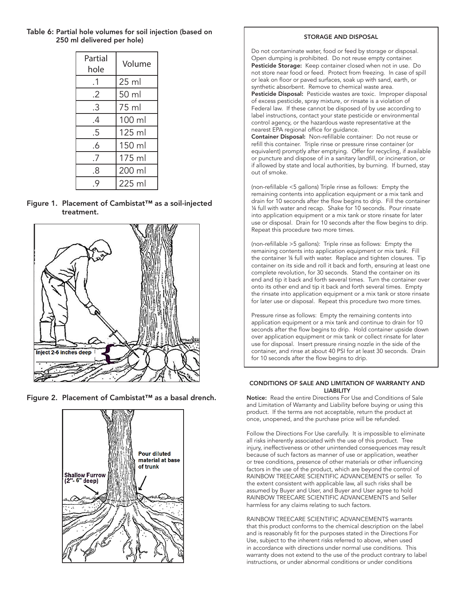# Table 6: Partial hole volumes for soil injection (based on 250 ml delivered per hole)

| Partial<br>hole | Volume |
|-----------------|--------|
| $\cdot$ 1       | 25 ml  |
| .2              | 50 ml  |
| .3              | 75 ml  |
| .4              | 100 ml |
| .5              | 125 ml |
| .6              | 150 ml |
| .7              | 175 ml |
| .8              | 200 ml |
| .9              | 225 ml |

## Figure 1. Placement of Cambistat™ as a soil-injected treatment.



Figure 2. Placement of Cambistat™ as a basal drench.



#### STORAGE AND DISPOSAL

Do not contaminate water, food or feed by storage or disposal. Open dumping is prohibited. Do not reuse empty container. Pesticide Storage: Keep container closed when not in use. Do not store near food or feed. Protect from freezing. In case of spill or leak on floor or paved surfaces, soak up with sand, earth, or synthetic absorbent. Remove to chemical waste area. Pesticide Disposal: Pesticide wastes are toxic. Improper disposal of excess pesticide, spray mixture, or rinsate is a violation of Federal law. If these cannot be disposed of by use according to label instructions, contact your state pesticide or environmental control agency, or the hazardous waste representative at the nearest EPA regional office for guidance.

Container Disposal: Non-refillable container: Do not reuse or refill this container. Triple rinse or pressure rinse container (or equivalent) promptly after emptying. Offer for recycling, if available or puncture and dispose of in a sanitary landfill, or incineration, or if allowed by state and local authorities, by burning. If burned, stay out of smoke.

(non-refillable <5 gallons) Triple rinse as follows: Empty the remaining contents into application equipment or a mix tank and drain for 10 seconds after the flow begins to drip. Fill the container ¼ full with water and recap. Shake for 10 seconds. Pour rinsate into application equipment or a mix tank or store rinsate for later use or disposal. Drain for 10 seconds after the flow begins to drip. Repeat this procedure two more times.

(non-refillable >5 gallons): Triple rinse as follows: Empty the remaining contents into application equipment or mix tank. Fill the container ¼ full with water. Replace and tighten closures. Tip container on its side and roll it back and forth, ensuring at least one complete revolution, for 30 seconds. Stand the container on its end and tip it back and forth several times. Turn the container over onto its other end and tip it back and forth several times. Empty the rinsate into application equipment or a mix tank or store rinsate for later use or disposal. Repeat this procedure two more times.

Pressure rinse as follows: Empty the remaining contents into application equipment or a mix tank and continue to drain for 10 seconds after the flow begins to drip. Hold container upside down over application equipment or mix tank or collect rinsate for later use for disposal. Insert pressure rinsing nozzle in the side of the container, and rinse at about 40 PSI for at least 30 seconds. Drain for 10 seconds after the flow begins to drip.

#### CONDITIONS OF SALE AND LIMITATION OF WARRANTY AND LIABILITY

Notice: Read the entire Directions For Use and Conditions of Sale and Limitation of Warranty and Liability before buying or using this product. If the terms are not acceptable, return the product at once, unopened, and the purchase price will be refunded.

Follow the Directions For Use carefully. It is impossible to eliminate all risks inherently associated with the use of this product. Tree injury, ineffectiveness or other unintended consequences may result because of such factors as manner of use or application, weather or tree conditions, presence of other materials or other influencing factors in the use of the product, which are beyond the control of RAINBOW TREECARE SCIENTIFIC ADVANCEMENTS or seller. To the extent consistent with applicable law, all such risks shall be assumed by Buyer and User, and Buyer and User agree to hold RAINBOW TREECARE SCIENTIFIC ADVANCEMENTS and Seller harmless for any claims relating to such factors.

RAINBOW TREECARE SCIENTIFIC ADVANCEMENTS warrants that this product conforms to the chemical description on the label and is reasonably fit for the purposes stated in the Directions For Use, subject to the inherent risks referred to above, when used in accordance with directions under normal use conditions. This warranty does not extend to the use of the product contrary to label instructions, or under abnormal conditions or under conditions